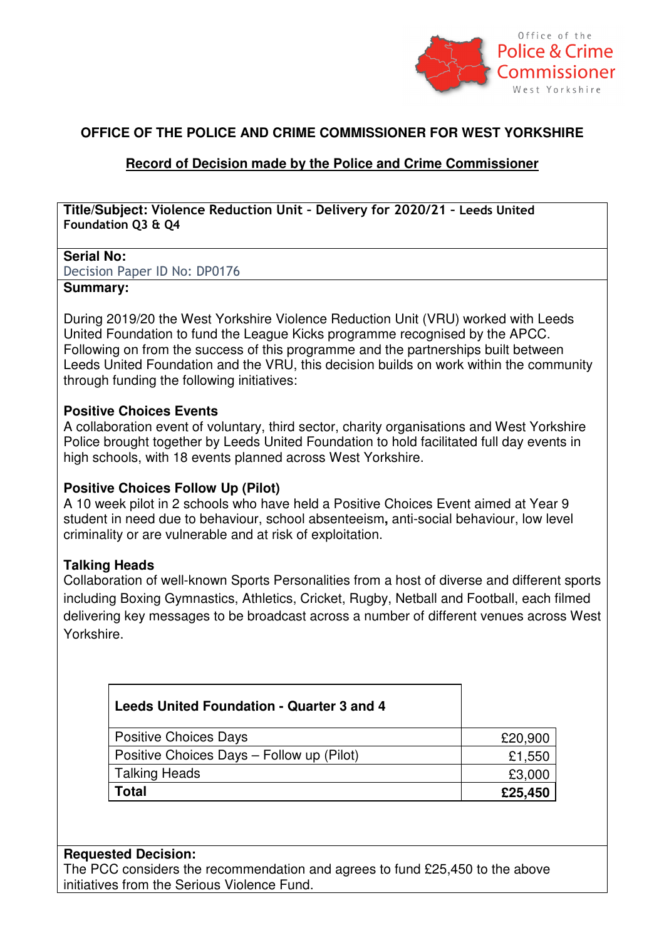

## **OFFICE OF THE POLICE AND CRIME COMMISSIONER FOR WEST YORKSHIRE**

# **Record of Decision made by the Police and Crime Commissioner**

**Title/Subject: Violence Reduction Unit – Delivery for 2020/21 – Leeds United Foundation Q3 & Q4**

#### **Serial No:**

Decision Paper ID No: DP0176

### **Summary:**

During 2019/20 the West Yorkshire Violence Reduction Unit (VRU) worked with Leeds United Foundation to fund the League Kicks programme recognised by the APCC. Following on from the success of this programme and the partnerships built between Leeds United Foundation and the VRU, this decision builds on work within the community through funding the following initiatives:

#### **Positive Choices Events**

A collaboration event of voluntary, third sector, charity organisations and West Yorkshire Police brought together by Leeds United Foundation to hold facilitated full day events in high schools, with 18 events planned across West Yorkshire.

## **Positive Choices Follow Up (Pilot)**

A 10 week pilot in 2 schools who have held a Positive Choices Event aimed at Year 9 student in need due to behaviour, school absenteeism**,** anti-social behaviour, low level criminality or are vulnerable and at risk of exploitation.

## **Talking Heads**

Collaboration of well-known Sports Personalities from a host of diverse and different sports including Boxing Gymnastics, Athletics, Cricket, Rugby, Netball and Football, each filmed delivering key messages to be broadcast across a number of different venues across West Yorkshire.

| Leeds United Foundation - Quarter 3 and 4 |         |
|-------------------------------------------|---------|
| <b>Positive Choices Days</b>              | £20,900 |
| Positive Choices Days - Follow up (Pilot) | £1,550  |
| <b>Talking Heads</b>                      | £3,000  |
| Total                                     | £25,450 |

#### **Requested Decision:**

The PCC considers the recommendation and agrees to fund £25,450 to the above initiatives from the Serious Violence Fund.